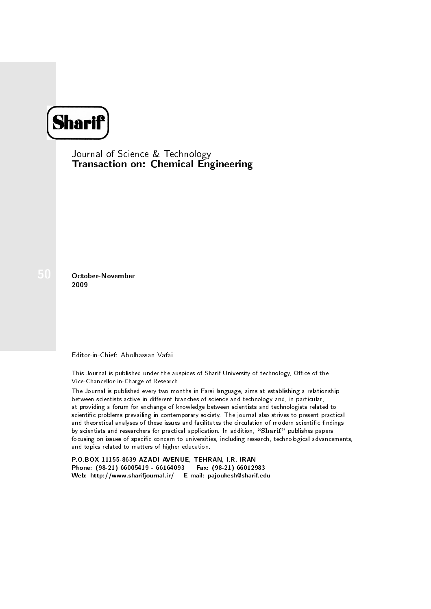

Journal of Science & Technology Transaction on: Chemical Engineering

50 October-November 2009

Editor-in-Chief: Abolhassan Vafai

This Journal is published under the auspices of Sharif University of technology, Office of the Vice-Chancellor-in-Charge of Research.

The Journal is published every two months in Farsi language, aims at establishing a relationship between scientists active in different branches of science and technology and, in particular, at providing a forum for exchange of knowledge between scientists and technologists related to scientic problems prevailing in contemporary society. The journal also strives to present practical and theoretical analyses of these issues and facilitates the circulation of modern scientific findings by scientists and researchers for practical application. In addition, "Sharif" publishes papers focusing on issues of specific concern to universities, including research, technological advancements, and topics related to matters of higher education.

P.O.BOX 11155-8639 AZADI AVENUE, TEHRAN, I.R. IRAN Phone: (98-21) 66005419 - 66164093 Fax: (98-21) 66012983 Web: http://www.sharifjournal.ir/ E-mail: pajouhesh@sharif.edu